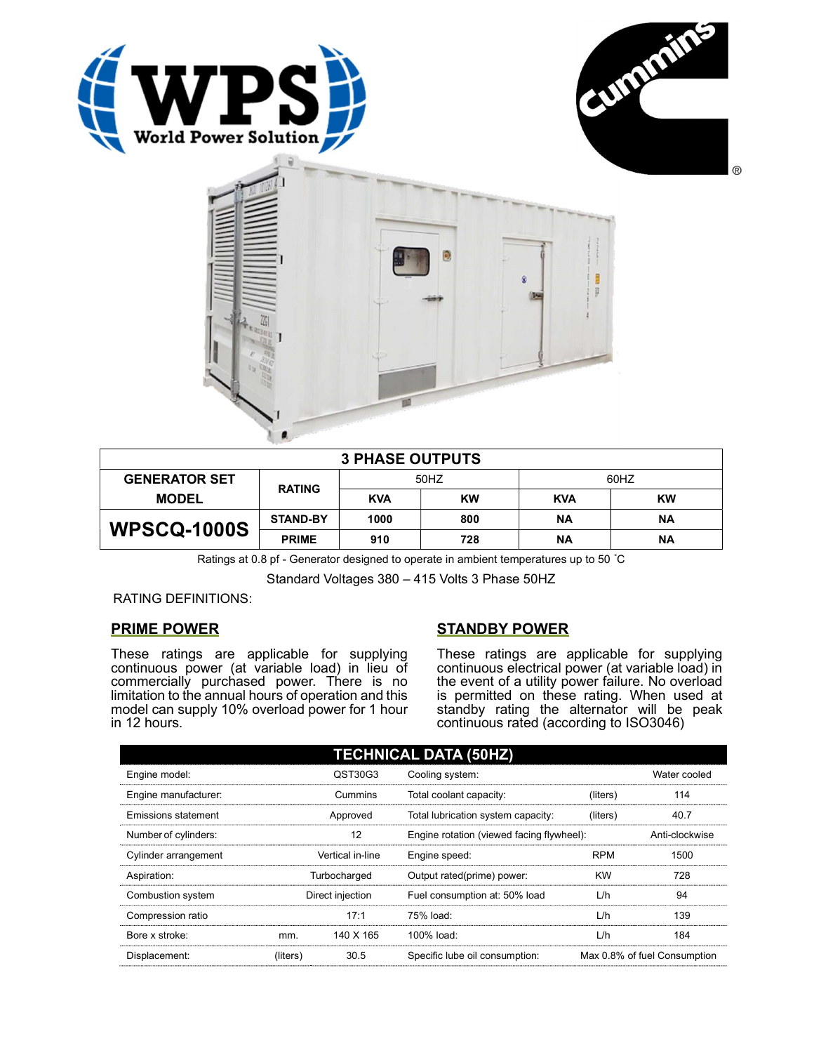



| $\circledcirc$<br>G<br>ä<br><b>3 PHASE OUTPUTS</b> |  |  |
|----------------------------------------------------|--|--|
|                                                    |  |  |
|                                                    |  |  |
|                                                    |  |  |
|                                                    |  |  |
|                                                    |  |  |
|                                                    |  |  |
|                                                    |  |  |

| <b>3 PHASE OUTPUTS</b> |                 |            |     |            |           |
|------------------------|-----------------|------------|-----|------------|-----------|
| <b>GENERATOR SET</b>   | <b>RATING</b>   | 50HZ       |     | 60HZ       |           |
| <b>MODEL</b>           |                 | <b>KVA</b> | KW  | <b>KVA</b> | <b>KW</b> |
| <b>WPSCQ-1000S</b>     | <b>STAND-BY</b> | 1000       | 800 | ΝA         | ΝA        |
|                        | <b>PRIME</b>    | 910        | 728 | ΝA         | ΝA        |

Ratings at 0.8 pf - Generator designed to operate in ambient temperatures up to 50 °C

Standard Voltages 380 – 415 Volts 3 Phase 50HZ

RATING DEFINITIONS:

# PRIME POWER

These ratings are applicable for supplying continuous power (at variable load) in lieu of commercially purchased power. There is no limitation to the annual hours of operation and this model can supply 10% overload power for 1 hour in 12 hours.

# STANDBY POWER

These ratings are applicable for supplying continuous electrical power (at variable load) in the event of a utility power failure. No overload is permitted on these rating. When used at standby rating the alternator will be peak continuous rated (according to ISO3046)

| <b>TECHNICAL DATA (50HZ)</b> |                  |           |                                           |            |                              |
|------------------------------|------------------|-----------|-------------------------------------------|------------|------------------------------|
| Engine model:                |                  | QST30G3   | Cooling system:                           |            | Water cooled                 |
| Engine manufacturer:         |                  | Cummins   | Total coolant capacity:                   | (liters)   | 114                          |
| Emissions statement          | Approved         |           | Total lubrication system capacity:        | (liters)   | 40.7                         |
| Number of cylinders:         | 12               |           | Engine rotation (viewed facing flywheel): |            | Anti-clockwise               |
| Cylinder arrangement         | Vertical in-line |           | Engine speed:                             | <b>RPM</b> | 1500                         |
| Aspiration:                  | Turbocharged     |           | Output rated(prime) power:                | <b>KW</b>  | 728                          |
| Combustion system            | Direct injection |           | Fuel consumption at: 50% load             | L/h        | 94                           |
| Compression ratio            |                  | 17:1      | 75% load:                                 | L/h        | 139                          |
| Bore x stroke:               | mm.              | 140 X 165 | $100\%$ load:                             | L/h        | 184                          |
| Displacement:                | (liters)         | 30.5      | Specific lube oil consumption:            |            | Max 0.8% of fuel Consumption |